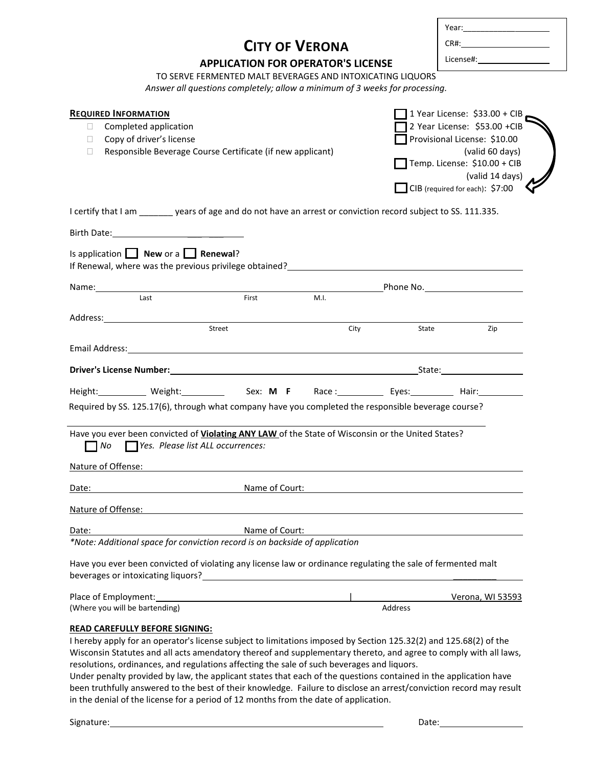|                                                                                                                                                                                                                                                                                                                             | <b>CITY OF VERONA</b>                                                                                                                     |                                                                                                                |                                                                                                                                                                                                                       |
|-----------------------------------------------------------------------------------------------------------------------------------------------------------------------------------------------------------------------------------------------------------------------------------------------------------------------------|-------------------------------------------------------------------------------------------------------------------------------------------|----------------------------------------------------------------------------------------------------------------|-----------------------------------------------------------------------------------------------------------------------------------------------------------------------------------------------------------------------|
| <b>APPLICATION FOR OPERATOR'S LICENSE</b>                                                                                                                                                                                                                                                                                   |                                                                                                                                           | License#: will be a series of the series of the series of the series of the series of the series of the series |                                                                                                                                                                                                                       |
|                                                                                                                                                                                                                                                                                                                             | TO SERVE FERMENTED MALT BEVERAGES AND INTOXICATING LIQUORS<br>Answer all questions completely; allow a minimum of 3 weeks for processing. |                                                                                                                |                                                                                                                                                                                                                       |
| <b>REQUIRED INFORMATION</b><br>Completed application<br>⊔<br>Copy of driver's license<br>$\Box$<br>Responsible Beverage Course Certificate (if new applicant)<br>□                                                                                                                                                          |                                                                                                                                           |                                                                                                                | $\Box$ 1 Year License: \$33.00 + CIB.<br>2 Year License: \$53.00 +CIB<br>Provisional License: \$10.00<br>(valid 60 days)<br>$\Box$ Temp. License: \$10.00 + CIB<br>(valid 14 days)<br>CIB (required for each): \$7:00 |
| I certify that I am ________ years of age and do not have an arrest or conviction record subject to SS. 111.335.                                                                                                                                                                                                            |                                                                                                                                           |                                                                                                                |                                                                                                                                                                                                                       |
|                                                                                                                                                                                                                                                                                                                             |                                                                                                                                           |                                                                                                                |                                                                                                                                                                                                                       |
| Is application $\Box$ New or a $\Box$ Renewal?<br>If Renewal, where was the previous privilege obtained?<br>Subset 2.1 The manufacturer of the state of the state of the state of the state of the state of the state of t                                                                                                  |                                                                                                                                           |                                                                                                                |                                                                                                                                                                                                                       |
|                                                                                                                                                                                                                                                                                                                             |                                                                                                                                           |                                                                                                                | <b>Example 20 Phone No.</b> Phone No.                                                                                                                                                                                 |
| Last                                                                                                                                                                                                                                                                                                                        | M.I.<br>First                                                                                                                             |                                                                                                                |                                                                                                                                                                                                                       |
| Address: Andreas Address: Address: Address: Address: Address: Address: Address: Address: Address: Address: Address: Address: Address: Address: Address: Address: Address: Address: Address: Address: Address: Address: Address                                                                                              |                                                                                                                                           |                                                                                                                |                                                                                                                                                                                                                       |
| Street                                                                                                                                                                                                                                                                                                                      | City                                                                                                                                      | State                                                                                                          | Zip                                                                                                                                                                                                                   |
|                                                                                                                                                                                                                                                                                                                             |                                                                                                                                           |                                                                                                                |                                                                                                                                                                                                                       |
|                                                                                                                                                                                                                                                                                                                             |                                                                                                                                           |                                                                                                                |                                                                                                                                                                                                                       |
|                                                                                                                                                                                                                                                                                                                             |                                                                                                                                           |                                                                                                                |                                                                                                                                                                                                                       |
| Height:____________ Weight:_______________ Sex: M F Race :___________ Eyes:__________ Hair:__________<br>Required by SS. 125.17(6), through what company have you completed the responsible beverage course?                                                                                                                |                                                                                                                                           |                                                                                                                |                                                                                                                                                                                                                       |
| Have you ever been convicted of Violating ANY LAW of the State of Wisconsin or the United States?<br>Yes. Please list ALL occurrences:<br>No<br>Nature of Offense:                                                                                                                                                          |                                                                                                                                           |                                                                                                                |                                                                                                                                                                                                                       |
|                                                                                                                                                                                                                                                                                                                             | Name of Court:                                                                                                                            |                                                                                                                |                                                                                                                                                                                                                       |
|                                                                                                                                                                                                                                                                                                                             |                                                                                                                                           |                                                                                                                |                                                                                                                                                                                                                       |
| Date:<br>Nature of Offense:<br>Date:                                                                                                                                                                                                                                                                                        | Name of Court:                                                                                                                            |                                                                                                                |                                                                                                                                                                                                                       |
|                                                                                                                                                                                                                                                                                                                             |                                                                                                                                           |                                                                                                                |                                                                                                                                                                                                                       |
|                                                                                                                                                                                                                                                                                                                             | <u> 1980 - Johann Stein, marwolaethau a bhann an t-Amhair an t-Amhair an t-Amhair an t-Amhair an t-Amhair an t-A</u>                      |                                                                                                                |                                                                                                                                                                                                                       |
| *Note: Additional space for conviction record is on backside of application<br>Have you ever been convicted of violating any license law or ordinance regulating the sale of fermented malt<br>beverages or intoxicating liquors?<br>Place of Employment: Note and the set of Employment:<br>(Where you will be bartending) |                                                                                                                                           | <b>Address</b>                                                                                                 | Verona, WI 53593                                                                                                                                                                                                      |

Wisconsin Statutes and all acts amendatory thereof and supplementary thereto, and agree to comply with all laws, resolutions, ordinances, and regulations affecting the sale of such beverages and liquors.

Under penalty provided by law, the applicant states that each of the questions contained in the application have been truthfully answered to the best of their knowledge. Failure to disclose an arrest/conviction record may result in the denial of the license for a period of 12 months from the date of application.

Г